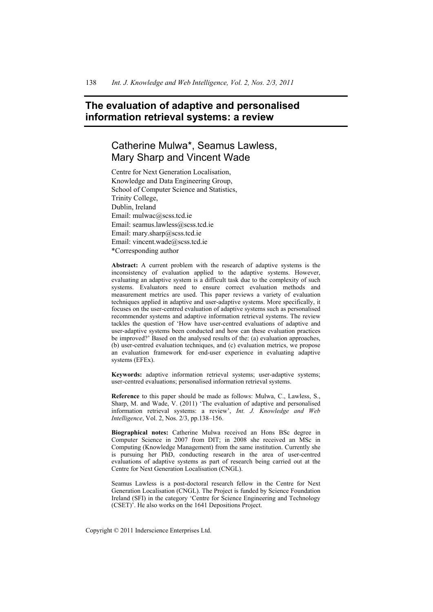# **The evaluation of adaptive and personalised information retrieval systems: a review**

# Catherine Mulwa\*, Seamus Lawless, Mary Sharp and Vincent Wade

Centre for Next Generation Localisation, Knowledge and Data Engineering Group, School of Computer Science and Statistics, Trinity College, Dublin, Ireland Email: mulwac@scss.tcd.ie Email: seamus.lawless@scss.tcd.ie Email: mary.sharp@scss.tcd.ie Email: vincent.wade@scss.tcd.ie \*Corresponding author

**Abstract:** A current problem with the research of adaptive systems is the inconsistency of evaluation applied to the adaptive systems. However, evaluating an adaptive system is a difficult task due to the complexity of such systems. Evaluators need to ensure correct evaluation methods and measurement metrics are used. This paper reviews a variety of evaluation techniques applied in adaptive and user-adaptive systems. More specifically, it focuses on the user-centred evaluation of adaptive systems such as personalised recommender systems and adaptive information retrieval systems. The review tackles the question of 'How have user-centred evaluations of adaptive and user-adaptive systems been conducted and how can these evaluation practices be improved?' Based on the analysed results of the: (a) evaluation approaches, (b) user-centred evaluation techniques, and (c) evaluation metrics, we propose an evaluation framework for end-user experience in evaluating adaptive systems (EFEx).

**Keywords:** adaptive information retrieval systems; user-adaptive systems; user-centred evaluations; personalised information retrieval systems.

**Reference** to this paper should be made as follows: Mulwa, C., Lawless, S., Sharp, M. and Wade, V. (2011) 'The evaluation of adaptive and personalised information retrieval systems: a review', *Int. J. Knowledge and Web Intelligence*, Vol. 2, Nos. 2/3, pp.138–156.

**Biographical notes:** Catherine Mulwa received an Hons BSc degree in Computer Science in 2007 from DIT; in 2008 she received an MSc in Computing (Knowledge Management) from the same institution. Currently she is pursuing her PhD, conducting research in the area of user-centred evaluations of adaptive systems as part of research being carried out at the Centre for Next Generation Localisation (CNGL).

Seamus Lawless is a post-doctoral research fellow in the Centre for Next Generation Localisation (CNGL). The Project is funded by Science Foundation Ireland (SFI) in the category 'Centre for Science Engineering and Technology (CSET)'. He also works on the 1641 Depositions Project.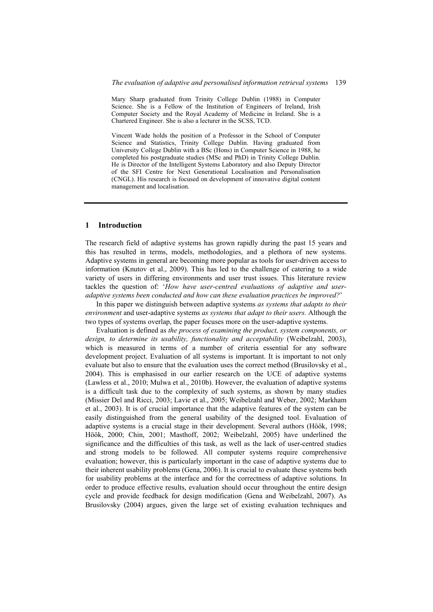Mary Sharp graduated from Trinity College Dublin (1988) in Computer Science. She is a Fellow of the Institution of Engineers of Ireland, Irish Computer Society and the Royal Academy of Medicine in Ireland. She is a Chartered Engineer. She is also a lecturer in the SCSS, TCD.

Vincent Wade holds the position of a Professor in the School of Computer Science and Statistics, Trinity College Dublin. Having graduated from University College Dublin with a BSc (Hons) in Computer Science in 1988, he completed his postgraduate studies (MSc and PhD) in Trinity College Dublin. He is Director of the Intelligent Systems Laboratory and also Deputy Director of the SFI Centre for Next Generational Localisation and Personalisation (CNGL). His research is focused on development of innovative digital content management and localisation.

#### **1 Introduction**

The research field of adaptive systems has grown rapidly during the past 15 years and this has resulted in terms, models, methodologies, and a plethora of new systems. Adaptive systems in general are becoming more popular as tools for user-driven access to information (Knutov et al., 2009). This has led to the challenge of catering to a wide variety of users in differing environments and user trust issues. This literature review tackles the question of: '*How have user-centred evaluations of adaptive and useradaptive systems been conducted and how can these evaluation practices be improved?*'

In this paper we distinguish between adaptive systems *as systems that adapts to their environment* and user-adaptive systems *as systems that adapt to their users.* Although the two types of systems overlap, the paper focuses more on the user-adaptive systems.

Evaluation is defined as *the process of examining the product, system components, or design, to determine its usability, functionality and acceptability* (Weibelzahl, 2003), which is measured in terms of a number of criteria essential for any software development project. Evaluation of all systems is important. It is important to not only evaluate but also to ensure that the evaluation uses the correct method (Brusilovsky et al., 2004). This is emphasised in our earlier research on the UCE of adaptive systems (Lawless et al., 2010; Mulwa et al., 2010b). However, the evaluation of adaptive systems is a difficult task due to the complexity of such systems, as shown by many studies (Missier Del and Ricci, 2003; Lavie et al., 2005; Weibelzahl and Weber, 2002; Markham et al., 2003). It is of crucial importance that the adaptive features of the system can be easily distinguished from the general usability of the designed tool. Evaluation of adaptive systems is a crucial stage in their development. Several authors (Höök, 1998; Höök, 2000; Chin, 2001; Masthoff, 2002; Weibelzahl, 2005) have underlined the significance and the difficulties of this task, as well as the lack of user-centred studies and strong models to be followed. All computer systems require comprehensive evaluation; however, this is particularly important in the case of adaptive systems due to their inherent usability problems (Gena, 2006). It is crucial to evaluate these systems both for usability problems at the interface and for the correctness of adaptive solutions. In order to produce effective results, evaluation should occur throughout the entire design cycle and provide feedback for design modification (Gena and Weibelzahl, 2007). As Brusilovsky (2004) argues, given the large set of existing evaluation techniques and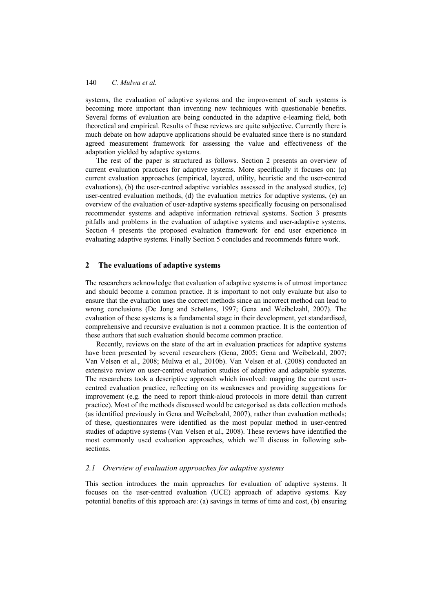systems, the evaluation of adaptive systems and the improvement of such systems is becoming more important than inventing new techniques with questionable benefits. Several forms of evaluation are being conducted in the adaptive e-learning field, both theoretical and empirical. Results of these reviews are quite subjective. Currently there is much debate on how adaptive applications should be evaluated since there is no standard agreed measurement framework for assessing the value and effectiveness of the adaptation yielded by adaptive systems.

The rest of the paper is structured as follows. Section 2 presents an overview of current evaluation practices for adaptive systems. More specifically it focuses on: (a) current evaluation approaches (empirical, layered, utility, heuristic and the user-centred evaluations), (b) the user-centred adaptive variables assessed in the analysed studies, (c) user-centred evaluation methods, (d) the evaluation metrics for adaptive systems, (e) an overview of the evaluation of user-adaptive systems specifically focusing on personalised recommender systems and adaptive information retrieval systems. Section 3 presents pitfalls and problems in the evaluation of adaptive systems and user-adaptive systems. Section 4 presents the proposed evaluation framework for end user experience in evaluating adaptive systems. Finally Section 5 concludes and recommends future work.

### **2 The evaluations of adaptive systems**

The researchers acknowledge that evaluation of adaptive systems is of utmost importance and should become a common practice. It is important to not only evaluate but also to ensure that the evaluation uses the correct methods since an incorrect method can lead to wrong conclusions (De Jong and Schellens, 1997; Gena and Weibelzahl, 2007). The evaluation of these systems is a fundamental stage in their development, yet standardised, comprehensive and recursive evaluation is not a common practice. It is the contention of these authors that such evaluation should become common practice.

Recently, reviews on the state of the art in evaluation practices for adaptive systems have been presented by several researchers (Gena, 2005; Gena and Weibelzahl, 2007; Van Velsen et al., 2008; Mulwa et al., 2010b). Van Velsen et al. (2008) conducted an extensive review on user-centred evaluation studies of adaptive and adaptable systems. The researchers took a descriptive approach which involved: mapping the current usercentred evaluation practice, reflecting on its weaknesses and providing suggestions for improvement (e.g. the need to report think-aloud protocols in more detail than current practice). Most of the methods discussed would be categorised as data collection methods (as identified previously in Gena and Weibelzahl, 2007), rather than evaluation methods; of these, questionnaires were identified as the most popular method in user-centred studies of adaptive systems (Van Velsen et al., 2008). These reviews have identified the most commonly used evaluation approaches, which we'll discuss in following subsections.

## *2.1 Overview of evaluation approaches for adaptive systems*

This section introduces the main approaches for evaluation of adaptive systems. It focuses on the user-centred evaluation (UCE) approach of adaptive systems. Key potential benefits of this approach are: (a) savings in terms of time and cost, (b) ensuring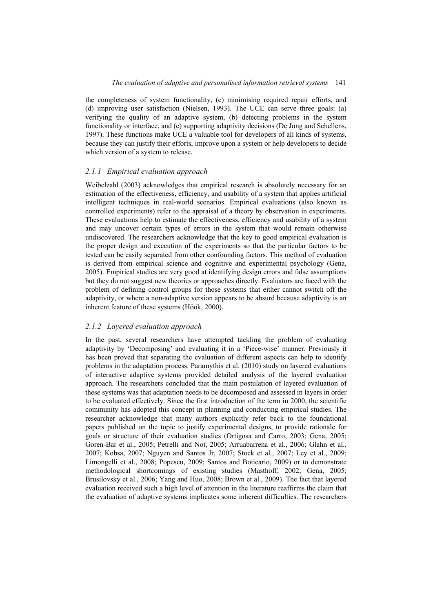the completeness of system functionality, (c) minimising required repair efforts, and (d) improving user satisfaction (Nielsen, 1993). The UCE can serve three goals: (a) verifying the quality of an adaptive system, (b) detecting problems in the system functionality or interface, and (c) supporting adaptivity decisions (De Jong and Schellens, 1997). These functions make UCE a valuable tool for developers of all kinds of systems, because they can justify their efforts, improve upon a system or help developers to decide which version of a system to release.

#### *2.1.1 Empirical evaluation approach*

Weibelzahl (2003) acknowledges that empirical research is absolutely necessary for an estimation of the effectiveness, efficiency, and usability of a system that applies artificial intelligent techniques in real-world scenarios. Empirical evaluations (also known as controlled experiments) refer to the appraisal of a theory by observation in experiments. These evaluations help to estimate the effectiveness, efficiency and usability of a system and may uncover certain types of errors in the system that would remain otherwise undiscovered. The researchers acknowledge that the key to good empirical evaluation is the proper design and execution of the experiments so that the particular factors to be tested can be easily separated from other confounding factors. This method of evaluation is derived from empirical science and cognitive and experimental psychology (Gena, 2005). Empirical studies are very good at identifying design errors and false assumptions but they do not suggest new theories or approaches directly. Evaluators are faced with the problem of defining control groups for those systems that either cannot switch off the adaptivity, or where a non-adaptive version appears to be absurd because adaptivity is an inherent feature of these systems (Höök, 2000).

## *2.1.2 Layered evaluation approach*

In the past, several researchers have attempted tackling the problem of evaluating adaptivity by 'Decomposing' and evaluating it in a 'Piece-wise' manner. Previously it has been proved that separating the evaluation of different aspects can help to identify problems in the adaptation process. Paramythis et al. (2010) study on layered evaluations of interactive adaptive systems provided detailed analysis of the layered evaluation approach. The researchers concluded that the main postulation of layered evaluation of these systems was that adaptation needs to be decomposed and assessed in layers in order to be evaluated effectively. Since the first introduction of the term in 2000, the scientific community has adopted this concept in planning and conducting empirical studies. The researcher acknowledge that many authors explicitly refer back to the foundational papers published on the topic to justify experimental designs, to provide rationale for goals or structure of their evaluation studies (Ortigosa and Carro, 2003; Gena, 2005; Goren-Bar et al., 2005; Petrelli and Not, 2005; Arruabarrena et al., 2006; Glahn et al., 2007; Kobsa, 2007; Nguyen and Santos Jr, 2007; Stock et al., 2007; Ley et al., 2009; Limongelli et al., 2008; Popescu, 2009; Santos and Boticario, 2009) or to demonstrate methodological shortcomings of existing studies (Masthoff, 2002; Gena, 2005; Brusilovsky et al., 2006; Yang and Huo, 2008; Brown et al., 2009). The fact that layered evaluation received such a high level of attention in the literature reaffirms the claim that the evaluation of adaptive systems implicates some inherent difficulties. The researchers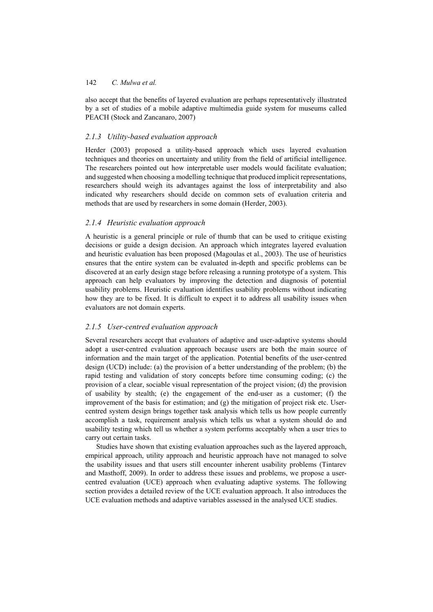also accept that the benefits of layered evaluation are perhaps representatively illustrated by a set of studies of a mobile adaptive multimedia guide system for museums called PEACH (Stock and Zancanaro, 2007)

#### *2.1.3 Utility-based evaluation approach*

Herder (2003) proposed a utility-based approach which uses layered evaluation techniques and theories on uncertainty and utility from the field of artificial intelligence. The researchers pointed out how interpretable user models would facilitate evaluation; and suggested when choosing a modelling technique that produced implicit representations, researchers should weigh its advantages against the loss of interpretability and also indicated why researchers should decide on common sets of evaluation criteria and methods that are used by researchers in some domain (Herder, 2003).

## *2.1.4 Heuristic evaluation approach*

A heuristic is a general principle or rule of thumb that can be used to critique existing decisions or guide a design decision. An approach which integrates layered evaluation and heuristic evaluation has been proposed (Magoulas et al., 2003). The use of heuristics ensures that the entire system can be evaluated in-depth and specific problems can be discovered at an early design stage before releasing a running prototype of a system. This approach can help evaluators by improving the detection and diagnosis of potential usability problems. Heuristic evaluation identifies usability problems without indicating how they are to be fixed. It is difficult to expect it to address all usability issues when evaluators are not domain experts.

## *2.1.5 User-centred evaluation approach*

Several researchers accept that evaluators of adaptive and user-adaptive systems should adopt a user-centred evaluation approach because users are both the main source of information and the main target of the application. Potential benefits of the user-centred design (UCD) include: (a) the provision of a better understanding of the problem; (b) the rapid testing and validation of story concepts before time consuming coding; (c) the provision of a clear, sociable visual representation of the project vision; (d) the provision of usability by stealth; (e) the engagement of the end-user as a customer; (f) the improvement of the basis for estimation; and (g) the mitigation of project risk etc. Usercentred system design brings together task analysis which tells us how people currently accomplish a task, requirement analysis which tells us what a system should do and usability testing which tell us whether a system performs acceptably when a user tries to carry out certain tasks.

Studies have shown that existing evaluation approaches such as the layered approach, empirical approach, utility approach and heuristic approach have not managed to solve the usability issues and that users still encounter inherent usability problems (Tintarev and Masthoff, 2009). In order to address these issues and problems, we propose a usercentred evaluation (UCE) approach when evaluating adaptive systems. The following section provides a detailed review of the UCE evaluation approach. It also introduces the UCE evaluation methods and adaptive variables assessed in the analysed UCE studies.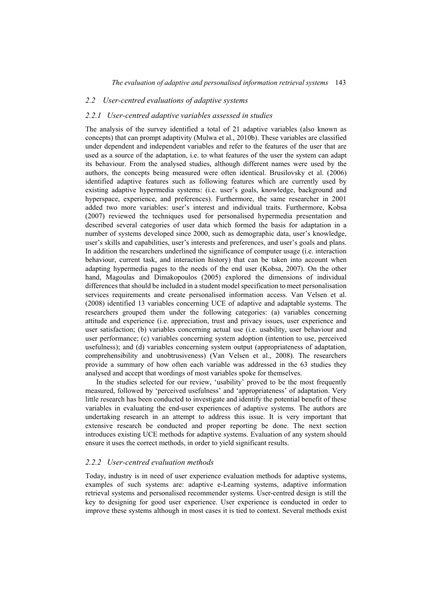## *2.2 User-centred evaluations of adaptive systems*

#### *2.2.1 User-centred adaptive variables assessed in studies*

The analysis of the survey identified a total of 21 adaptive variables (also known as concepts) that can prompt adaptivity (Mulwa et al., 2010b). These variables are classified under dependent and independent variables and refer to the features of the user that are used as a source of the adaptation, i.e. to what features of the user the system can adapt its behaviour. From the analysed studies, although different names were used by the authors, the concepts being measured were often identical. Brusilovsky et al. (2006) identified adaptive features such as following features which are currently used by existing adaptive hypermedia systems: (i.e. user's goals, knowledge, background and hyperspace, experience, and preferences). Furthermore, the same researcher in 2001 added two more variables: user's interest and individual traits. Furthermore, Kobsa (2007) reviewed the techniques used for personalised hypermedia presentation and described several categories of user data which formed the basis for adaptation in a number of systems developed since 2000, such as demographic data, user's knowledge, user's skills and capabilities, user's interests and preferences, and user's goals and plans. In addition the researchers underlined the significance of computer usage (i.e. interaction behaviour, current task, and interaction history) that can be taken into account when adapting hypermedia pages to the needs of the end user (Kobsa, 2007). On the other hand, Magoulas and Dimakopoulos (2005) explored the dimensions of individual differences that should be included in a student model specification to meet personalisation services requirements and create personalised information access. Van Velsen et al. (2008) identified 13 variables concerning UCE of adaptive and adaptable systems. The researchers grouped them under the following categories: (a) variables concerning attitude and experience (i.e. appreciation, trust and privacy issues, user experience and user satisfaction; (b) variables concerning actual use (i.e. usability, user behaviour and user performance; (c) variables concerning system adoption (intention to use, perceived usefulness); and (d) variables concerning system output (appropriateness of adaptation, comprehensibility and unobtrusiveness) (Van Velsen et al., 2008). The researchers provide a summary of how often each variable was addressed in the 63 studies they analysed and accept that wordings of most variables spoke for themselves.

In the studies selected for our review, 'usability' proved to be the most frequently measured, followed by 'perceived usefulness' and 'appropriateness' of adaptation. Very little research has been conducted to investigate and identify the potential benefit of these variables in evaluating the end-user experiences of adaptive systems. The authors are undertaking research in an attempt to address this issue. It is very important that extensive research be conducted and proper reporting be done. The next section introduces existing UCE methods for adaptive systems. Evaluation of any system should ensure it uses the correct methods, in order to yield significant results.

#### *2.2.2 User-centred evaluation methods*

Today, industry is in need of user experience evaluation methods for adaptive systems, examples of such systems are: adaptive e-Learning systems, adaptive information retrieval systems and personalised recommender systems. User-centred design is still the key to designing for good user experience. User experience is conducted in order to improve these systems although in most cases it is tied to context. Several methods exist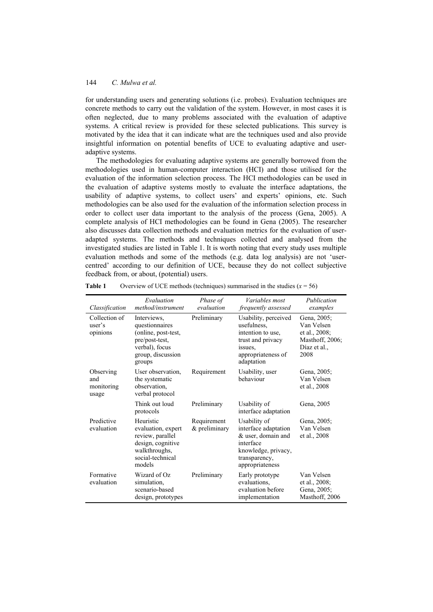for understanding users and generating solutions (i.e. probes). Evaluation techniques are concrete methods to carry out the validation of the system. However, in most cases it is often neglected, due to many problems associated with the evaluation of adaptive systems. A critical review is provided for these selected publications. This survey is motivated by the idea that it can indicate what are the techniques used and also provide insightful information on potential benefits of UCE to evaluating adaptive and useradaptive systems.

The methodologies for evaluating adaptive systems are generally borrowed from the methodologies used in human-computer interaction (HCI) and those utilised for the evaluation of the information selection process. The HCI methodologies can be used in the evaluation of adaptive systems mostly to evaluate the interface adaptations, the usability of adaptive systems, to collect users' and experts' opinions, etc. Such methodologies can be also used for the evaluation of the information selection process in order to collect user data important to the analysis of the process (Gena, 2005). A complete analysis of HCI methodologies can be found in Gena (2005). The researcher also discusses data collection methods and evaluation metrics for the evaluation of useradapted systems. The methods and techniques collected and analysed from the investigated studies are listed in Table 1. It is worth noting that every study uses multiple evaluation methods and some of the methods (e.g. data log analysis) are not 'usercentred' according to our definition of UCE, because they do not collect subjective feedback from, or about, (potential) users.

| Classification                          | Evaluation<br>method/instrument                                                                                         | Phase of<br>evaluation       | <i>Variables most</i><br>frequently assessed                                                                                       | Publication<br>examples                                                               |
|-----------------------------------------|-------------------------------------------------------------------------------------------------------------------------|------------------------------|------------------------------------------------------------------------------------------------------------------------------------|---------------------------------------------------------------------------------------|
| Collection of<br>user's<br>opinions     | Interviews,<br>questionnaires<br>(online, post-test,<br>pre/post-test,<br>verbal), focus<br>group, discussion<br>groups | Preliminary                  | Usability, perceived<br>usefulness.<br>intention to use,<br>trust and privacy<br>issues.<br>appropriateness of<br>adaptation       | Gena, 2005;<br>Van Velsen<br>et al., 2008;<br>Masthoff, 2006;<br>Díaz et al.,<br>2008 |
| Observing<br>and<br>monitoring<br>usage | User observation,<br>the systematic<br>observation,<br>verbal protocol                                                  | Requirement                  | Usability, user<br>hehaviour                                                                                                       | Gena, 2005;<br>Van Velsen<br>et al., 2008                                             |
|                                         | Think out loud<br>protocols                                                                                             | Preliminary                  | Usability of<br>interface adaptation                                                                                               | Gena, 2005                                                                            |
| Predictive<br>evaluation                | Heuristic<br>evaluation, expert<br>review, parallel<br>design, cognitive<br>walkthroughs,<br>social-technical<br>models | Requirement<br>& preliminary | Usability of<br>interface adaptation<br>& user, domain and<br>interface<br>knowledge, privacy,<br>transparency,<br>appropriateness | Gena, 2005;<br>Van Velsen<br>et al., 2008                                             |
| Formative<br>evaluation                 | Wizard of Oz<br>simulation,<br>scenario-based<br>design, prototypes                                                     | Preliminary                  | Early prototype<br>evaluations,<br>evaluation before<br>implementation                                                             | Van Velsen<br>et al., 2008;<br>Gena, 2005;<br>Masthoff, 2006                          |

| Overview of UCE methods (techniques) summarised in the studies $(x = 56)$ | Table 1 |  |  |  |  |  |  |  |  |  |
|---------------------------------------------------------------------------|---------|--|--|--|--|--|--|--|--|--|
|---------------------------------------------------------------------------|---------|--|--|--|--|--|--|--|--|--|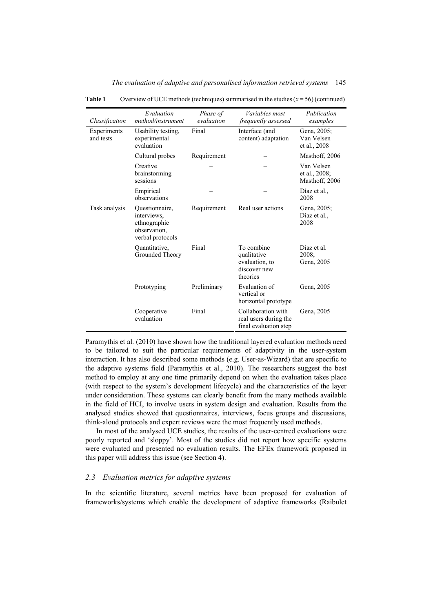| Classification           | Evaluation<br>method/instrument                                                   | Phase of<br>evaluation                         | Variables most<br>frequently assessed                                   | Publication<br>examples                       |
|--------------------------|-----------------------------------------------------------------------------------|------------------------------------------------|-------------------------------------------------------------------------|-----------------------------------------------|
| Experiments<br>and tests | Usability testing,<br>experimental<br>evaluation                                  | Final<br>Interface (and<br>content) adaptation |                                                                         | Gena, 2005;<br>Van Velsen<br>et al., 2008     |
|                          | Cultural probes                                                                   | Requirement                                    |                                                                         | Masthoff, 2006                                |
|                          | Creative<br>brainstorming<br>sessions                                             |                                                |                                                                         | Van Velsen<br>et al., 2008;<br>Masthoff, 2006 |
|                          | Empirical<br>observations                                                         |                                                |                                                                         | Díaz et al.,<br>2008                          |
| Task analysis            | Questionnaire,<br>interviews,<br>ethnographic<br>observation,<br>verbal protocols | Requirement                                    | Real user actions                                                       | Gena, 2005;<br>Díaz et al.,<br>2008           |
|                          | Quantitative,<br>Grounded Theory                                                  | Final                                          | To combine<br>qualitative<br>evaluation, to<br>discover new<br>theories | Díaz et al.<br>2008;<br>Gena, 2005            |
|                          | Prototyping                                                                       | Preliminary                                    | Evaluation of<br>vertical or<br>horizontal prototype                    | Gena, 2005                                    |
|                          | Cooperative<br>evaluation                                                         | Final                                          | Collaboration with<br>real users during the<br>final evaluation step    | Gena, 2005                                    |

*The evaluation of adaptive and personalised information retrieval systems* 145

**Table 1** Overview of UCE methods (techniques) summarised in the studies  $(x = 56)$  (continued)

Paramythis et al. (2010) have shown how the traditional layered evaluation methods need to be tailored to suit the particular requirements of adaptivity in the user-system interaction. It has also described some methods (e.g. User-as-Wizard) that are specific to the adaptive systems field (Paramythis et al., 2010). The researchers suggest the best method to employ at any one time primarily depend on when the evaluation takes place (with respect to the system's development lifecycle) and the characteristics of the layer under consideration. These systems can clearly benefit from the many methods available in the field of HCI, to involve users in system design and evaluation. Results from the analysed studies showed that questionnaires, interviews, focus groups and discussions, think-aloud protocols and expert reviews were the most frequently used methods.

In most of the analysed UCE studies, the results of the user-centred evaluations were poorly reported and 'sloppy'. Most of the studies did not report how specific systems were evaluated and presented no evaluation results. The EFEx framework proposed in this paper will address this issue (see Section 4).

## *2.3 Evaluation metrics for adaptive systems*

In the scientific literature, several metrics have been proposed for evaluation of frameworks/systems which enable the development of adaptive frameworks (Raibulet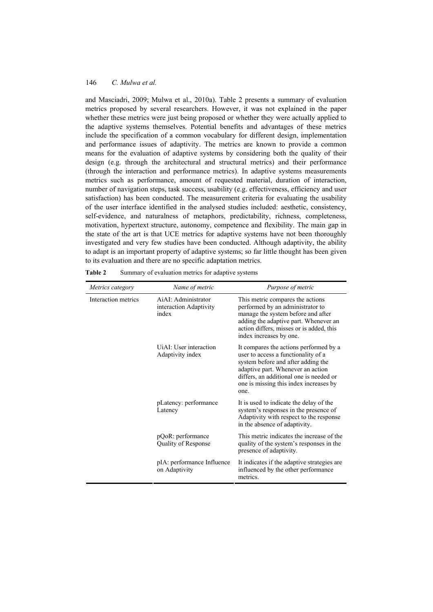and Masciadri, 2009; Mulwa et al., 2010a). Table 2 presents a summary of evaluation metrics proposed by several researchers. However, it was not explained in the paper whether these metrics were just being proposed or whether they were actually applied to the adaptive systems themselves. Potential benefits and advantages of these metrics include the specification of a common vocabulary for different design, implementation and performance issues of adaptivity. The metrics are known to provide a common means for the evaluation of adaptive systems by considering both the quality of their design (e.g. through the architectural and structural metrics) and their performance (through the interaction and performance metrics). In adaptive systems measurements metrics such as performance, amount of requested material, duration of interaction, number of navigation steps, task success, usability (e.g. effectiveness, efficiency and user satisfaction) has been conducted. The measurement criteria for evaluating the usability of the user interface identified in the analysed studies included: aesthetic, consistency, self-evidence, and naturalness of metaphors, predictability, richness, completeness, motivation, hypertext structure, autonomy, competence and flexibility. The main gap in the state of the art is that UCE metrics for adaptive systems have not been thoroughly investigated and very few studies have been conducted. Although adaptivity, the ability to adapt is an important property of adaptive systems; so far little thought has been given to its evaluation and there are no specific adaptation metrics.

| Metrics category    | Name of metric                                         | Purpose of metric                                                                                                                                                                                                                                     |
|---------------------|--------------------------------------------------------|-------------------------------------------------------------------------------------------------------------------------------------------------------------------------------------------------------------------------------------------------------|
| Interaction metrics | AiAI: Administrator<br>interaction Adaptivity<br>index | This metric compares the actions<br>performed by an administrator to<br>manage the system before and after<br>adding the adaptive part. Whenever an<br>action differs, misses or is added, this<br>index increases by one.                            |
|                     | UiAI: User interaction<br>Adaptivity index             | It compares the actions performed by a<br>user to access a functionality of a<br>system before and after adding the<br>adaptive part. Whenever an action<br>differs, an additional one is needed or<br>one is missing this index increases by<br>one. |
|                     | pLatency: performance<br>Latency                       | It is used to indicate the delay of the<br>system's responses in the presence of<br>Adaptivity with respect to the response<br>in the absence of adaptivity.                                                                                          |
|                     | pQoR: performance<br>Quality of Response               | This metric indicates the increase of the<br>quality of the system's responses in the<br>presence of adaptivity.                                                                                                                                      |
|                     | pIA: performance Influence<br>on Adaptivity            | It indicates if the adaptive strategies are<br>influenced by the other performance<br>metrics.                                                                                                                                                        |

Table 2 Summary of evaluation metrics for adaptive systems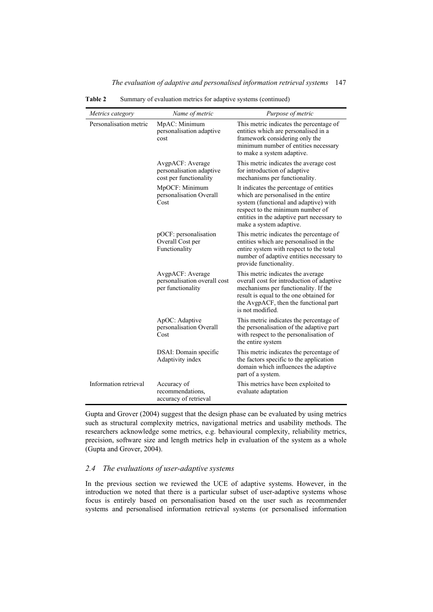| Metrics category       | Name of metric                                                         | Purpose of metric                                                                                                                                                                                                                     |
|------------------------|------------------------------------------------------------------------|---------------------------------------------------------------------------------------------------------------------------------------------------------------------------------------------------------------------------------------|
| Personalisation metric | MpAC: Minimum<br>personalisation adaptive<br>cost                      | This metric indicates the percentage of<br>entities which are personalised in a<br>framework considering only the<br>minimum number of entities necessary<br>to make a system adaptive.                                               |
|                        | AvgpACF: Average<br>personalisation adaptive<br>cost per functionality | This metric indicates the average cost<br>for introduction of adaptive<br>mechanisms per functionality.                                                                                                                               |
|                        | MpOCF: Minimum<br>personalisation Overall<br>Cost                      | It indicates the percentage of entities<br>which are personalised in the entire<br>system (functional and adaptive) with<br>respect to the minimum number of<br>entities in the adaptive part necessary to<br>make a system adaptive. |
|                        | pOCF: personalisation<br>Overall Cost per<br>Functionality             | This metric indicates the percentage of<br>entities which are personalised in the<br>entire system with respect to the total<br>number of adaptive entities necessary to<br>provide functionality.                                    |
|                        | AvgpACF: Average<br>personalisation overall cost<br>per functionality  | This metric indicates the average<br>overall cost for introduction of adaptive<br>mechanisms per functionality. If the<br>result is equal to the one obtained for<br>the AvgpACF, then the functional part<br>is not modified.        |
|                        | ApOC: Adaptive<br>personalisation Overall<br>Cost                      | This metric indicates the percentage of<br>the personalisation of the adaptive part<br>with respect to the personalisation of<br>the entire system                                                                                    |
|                        | DSAI: Domain specific<br>Adaptivity index                              | This metric indicates the percentage of<br>the factors specific to the application<br>domain which influences the adaptive<br>part of a system.                                                                                       |
| Information retrieval  | Accuracy of<br>recommendations,<br>accuracy of retrieval               | This metrics have been exploited to<br>evaluate adaptation                                                                                                                                                                            |

Table 2 Summary of evaluation metrics for adaptive systems (continued)

Gupta and Grover (2004) suggest that the design phase can be evaluated by using metrics such as structural complexity metrics, navigational metrics and usability methods. The researchers acknowledge some metrics, e.g. behavioural complexity, reliability metrics, precision, software size and length metrics help in evaluation of the system as a whole (Gupta and Grover, 2004).

# *2.4 The evaluations of user-adaptive systems*

In the previous section we reviewed the UCE of adaptive systems. However, in the introduction we noted that there is a particular subset of user-adaptive systems whose focus is entirely based on personalisation based on the user such as recommender systems and personalised information retrieval systems (or personalised information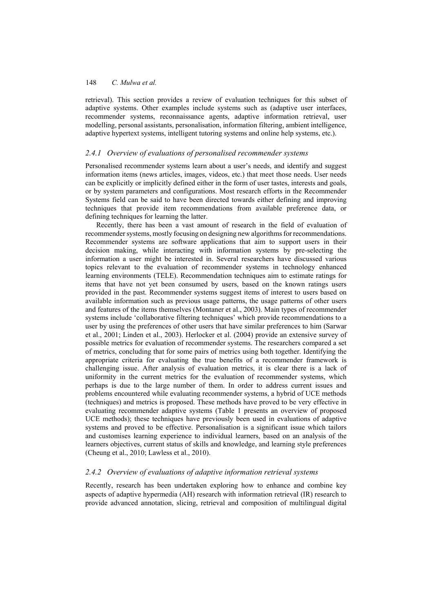retrieval). This section provides a review of evaluation techniques for this subset of adaptive systems. Other examples include systems such as (adaptive user interfaces, recommender systems, reconnaissance agents, adaptive information retrieval, user modelling, personal assistants, personalisation, information filtering, ambient intelligence, adaptive hypertext systems, intelligent tutoring systems and online help systems, etc.).

#### *2.4.1 Overview of evaluations of personalised recommender systems*

Personalised recommender systems learn about a user's needs, and identify and suggest information items (news articles, images, videos, etc.) that meet those needs. User needs can be explicitly or implicitly defined either in the form of user tastes, interests and goals, or by system parameters and configurations. Most research efforts in the Recommender Systems field can be said to have been directed towards either defining and improving techniques that provide item recommendations from available preference data, or defining techniques for learning the latter.

Recently, there has been a vast amount of research in the field of evaluation of recommender systems, mostly focusing on designing new algorithms for recommendations. Recommender systems are software applications that aim to support users in their decision making, while interacting with information systems by pre-selecting the information a user might be interested in. Several researchers have discussed various topics relevant to the evaluation of recommender systems in technology enhanced learning environments (TELE). Recommendation techniques aim to estimate ratings for items that have not yet been consumed by users, based on the known ratings users provided in the past. Recommender systems suggest items of interest to users based on available information such as previous usage patterns, the usage patterns of other users and features of the items themselves (Montaner et al., 2003). Main types of recommender systems include 'collaborative filtering techniques' which provide recommendations to a user by using the preferences of other users that have similar preferences to him (Sarwar et al., 2001; Linden et al., 2003). Herlocker et al. (2004) provide an extensive survey of possible metrics for evaluation of recommender systems. The researchers compared a set of metrics, concluding that for some pairs of metrics using both together. Identifying the appropriate criteria for evaluating the true benefits of a recommender framework is challenging issue. After analysis of evaluation metrics, it is clear there is a lack of uniformity in the current metrics for the evaluation of recommender systems, which perhaps is due to the large number of them. In order to address current issues and problems encountered while evaluating recommender systems, a hybrid of UCE methods (techniques) and metrics is proposed. These methods have proved to be very effective in evaluating recommender adaptive systems (Table 1 presents an overview of proposed UCE methods); these techniques have previously been used in evaluations of adaptive systems and proved to be effective. Personalisation is a significant issue which tailors and customises learning experience to individual learners, based on an analysis of the learners objectives, current status of skills and knowledge, and learning style preferences (Cheung et al., 2010; Lawless et al., 2010).

## *2.4.2 Overview of evaluations of adaptive information retrieval systems*

Recently, research has been undertaken exploring how to enhance and combine key aspects of adaptive hypermedia (AH) research with information retrieval (IR) research to provide advanced annotation, slicing, retrieval and composition of multilingual digital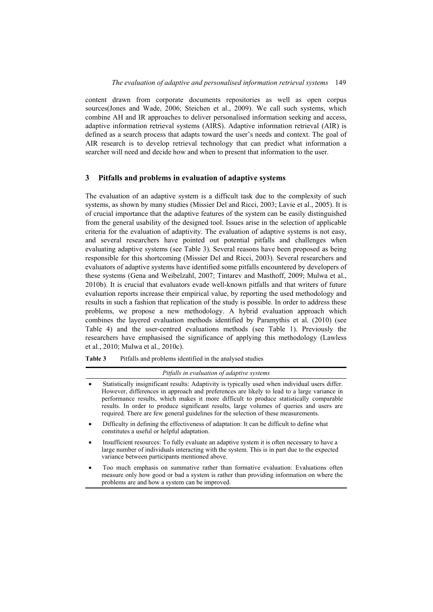content drawn from corporate documents repositories as well as open corpus sources(Jones and Wade, 2006; Steichen et al., 2009). We call such systems, which combine AH and IR approaches to deliver personalised information seeking and access, adaptive information retrieval systems (AIRS). Adaptive information retrieval (AIR) is defined as a search process that adapts toward the user's needs and context. The goal of AIR research is to develop retrieval technology that can predict what information a searcher will need and decide how and when to present that information to the user.

## **3 Pitfalls and problems in evaluation of adaptive systems**

The evaluation of an adaptive system is a difficult task due to the complexity of such systems, as shown by many studies (Missier Del and Ricci, 2003; Lavie et al., 2005). It is of crucial importance that the adaptive features of the system can be easily distinguished from the general usability of the designed tool. Issues arise in the selection of applicable criteria for the evaluation of adaptivity. The evaluation of adaptive systems is not easy, and several researchers have pointed out potential pitfalls and challenges when evaluating adaptive systems (see Table 3). Several reasons have been proposed as being responsible for this shortcoming (Missier Del and Ricci, 2003). Several researchers and evaluators of adaptive systems have identified some pitfalls encountered by developers of these systems (Gena and Weibelzahl, 2007; Tintarev and Masthoff, 2009; Mulwa et al., 2010b). It is crucial that evaluators evade well-known pitfalls and that writers of future evaluation reports increase their empirical value, by reporting the used methodology and results in such a fashion that replication of the study is possible. In order to address these problems, we propose a new methodology. A hybrid evaluation approach which combines the layered evaluation methods identified by Paramythis et al. (2010) (see Table 4) and the user-centred evaluations methods (see Table 1). Previously the researchers have emphasised the significance of applying this methodology (Lawless et al., 2010; Mulwa et al., 2010c).

**Table 3** Pitfalls and problems identified in the analysed studies

*Pitfalls in evaluation of adaptive systems* 

- Statistically insignificant results: Adaptivity is typically used when individual users differ. However, differences in approach and preferences are likely to lead to a large variance in performance results, which makes it more difficult to produce statistically comparable results. In order to produce significant results, large volumes of queries and users are required. There are few general guidelines for the selection of these measurements.
- Difficulty in defining the effectiveness of adaptation: It can be difficult to define what constitutes a useful or helpful adaptation.
- Insufficient resources: To fully evaluate an adaptive system it is often necessary to have a large number of individuals interacting with the system. This is in part due to the expected variance between participants mentioned above.
- Too much emphasis on summative rather than formative evaluation: Evaluations often measure only how good or bad a system is rather than providing information on where the problems are and how a system can be improved.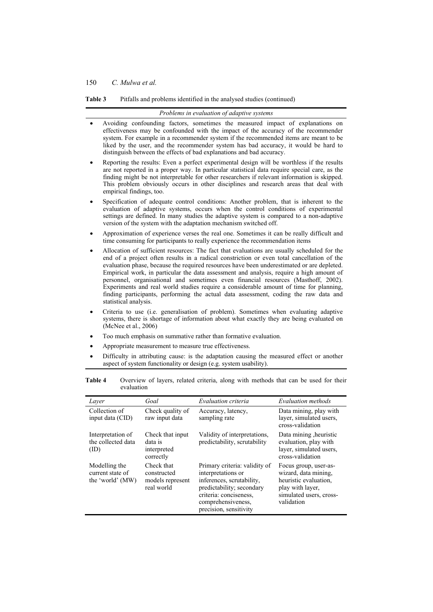**Table 3** Pitfalls and problems identified in the analysed studies (continued)

|   | Problems in evaluation of adaptive systems                                                                                                                                                                                                                                                                                                                                                                                                                                                                                                                                                                                                                                           |
|---|--------------------------------------------------------------------------------------------------------------------------------------------------------------------------------------------------------------------------------------------------------------------------------------------------------------------------------------------------------------------------------------------------------------------------------------------------------------------------------------------------------------------------------------------------------------------------------------------------------------------------------------------------------------------------------------|
|   | Avoiding confounding factors, sometimes the measured impact of explanations on<br>effectiveness may be confounded with the impact of the accuracy of the recommender<br>system. For example in a recommender system if the recommended items are meant to be<br>liked by the user, and the recommender system has bad accuracy, it would be hard to<br>distinguish between the effects of bad explanations and bad accuracy.                                                                                                                                                                                                                                                         |
|   | Reporting the results: Even a perfect experimental design will be worthless if the results<br>are not reported in a proper way. In particular statistical data require special care, as the<br>finding might be not interpretable for other researchers if relevant information is skipped.<br>This problem obviously occurs in other disciplines and research areas that deal with<br>empirical findings, too.                                                                                                                                                                                                                                                                      |
| ٠ | Specification of adequate control conditions: Another problem, that is inherent to the<br>evaluation of adaptive systems, occurs when the control conditions of experimental<br>settings are defined. In many studies the adaptive system is compared to a non-adaptive<br>version of the system with the adaptation mechanism switched off.                                                                                                                                                                                                                                                                                                                                         |
|   | Approximation of experience verses the real one. Sometimes it can be really difficult and<br>time consuming for participants to really experience the recommendation items                                                                                                                                                                                                                                                                                                                                                                                                                                                                                                           |
|   | Allocation of sufficient resources: The fact that evaluations are usually scheduled for the<br>end of a project often results in a radical constriction or even total cancellation of the<br>evaluation phase, because the required resources have been underestimated or are depleted.<br>Empirical work, in particular the data assessment and analysis, require a high amount of<br>personnel, organisational and sometimes even financial resources (Masthoff, 2002).<br>Experiments and real world studies require a considerable amount of time for planning,<br>finding participants, performing the actual data assessment, coding the raw data and<br>statistical analysis. |
|   | Criteria to use (i.e. generalisation of problem). Sometimes when evaluating adaptive<br>systems, there is shortage of information about what exactly they are being evaluated on<br>(McNee et al., 2006)                                                                                                                                                                                                                                                                                                                                                                                                                                                                             |
| ٠ | Too much emphasis on summative rather than formative evaluation.                                                                                                                                                                                                                                                                                                                                                                                                                                                                                                                                                                                                                     |
|   | Appropriate measurement to measure true effectiveness.                                                                                                                                                                                                                                                                                                                                                                                                                                                                                                                                                                                                                               |
|   | Difficulty in attributing cause: is the adaptation causing the measured effect or another<br>aspect of system functionality or design (e.g. system usability).                                                                                                                                                                                                                                                                                                                                                                                                                                                                                                                       |

| cvaiaanon                                             |                                                             |                                                                                                                                                                                         |                                                                                                                                     |
|-------------------------------------------------------|-------------------------------------------------------------|-----------------------------------------------------------------------------------------------------------------------------------------------------------------------------------------|-------------------------------------------------------------------------------------------------------------------------------------|
| Laver                                                 | Goal                                                        | Evaluation criteria                                                                                                                                                                     | Evaluation methods                                                                                                                  |
| Collection of<br>input data (CID)                     | Check quality of<br>raw input data                          | Accuracy, latency,<br>sampling rate                                                                                                                                                     | Data mining, play with<br>layer, simulated users,<br>cross-validation                                                               |
| Interpretation of<br>the collected data<br>(ID)       | Check that input<br>data is<br>interpreted<br>correctly     | Validity of interpretations,<br>predictability, scrutability                                                                                                                            | Data mining, heuristic<br>evaluation, play with<br>layer, simulated users,<br>cross-validation                                      |
| Modelling the<br>current state of<br>the 'world' (MW) | Check that<br>constructed<br>models represent<br>real world | Primary criteria: validity of<br>interpretations or<br>inferences, scrutability,<br>predictability; secondary<br>criteria: conciseness.<br>comprehensiveness,<br>precision, sensitivity | Focus group, user-as-<br>wizard, data mining,<br>heuristic evaluation.<br>play with layer,<br>simulated users, cross-<br>validation |

**Table 4** Overview of layers, related criteria, along with methods that can be used for their evaluation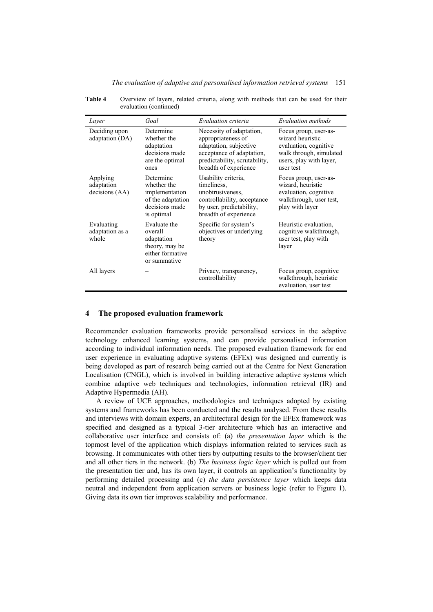#### *The evaluation of adaptive and personalised information retrieval systems* 151

| Table 4 | Overview of layers, related criteria, along with methods that can be used for their |  |  |  |  |  |  |
|---------|-------------------------------------------------------------------------------------|--|--|--|--|--|--|
|         | evaluation (continued)                                                              |  |  |  |  |  |  |

| Layer                                    | Goal                                                                                            | Evaluation criteria                                                                                                                                             | Evaluation methods                                                                                                                    |
|------------------------------------------|-------------------------------------------------------------------------------------------------|-----------------------------------------------------------------------------------------------------------------------------------------------------------------|---------------------------------------------------------------------------------------------------------------------------------------|
| Deciding upon<br>adaptation (DA)         | Determine<br>whether the<br>adaptation<br>decisions made<br>are the optimal<br>ones             | Necessity of adaptation,<br>appropriateness of<br>adaptation, subjective<br>acceptance of adaptation,<br>predictability, scrutability,<br>breadth of experience | Focus group, user-as-<br>wizard heuristic<br>evaluation, cognitive<br>walk through, simulated<br>users, play with layer,<br>user test |
| Applying<br>adaptation<br>decisions (AA) | Determine<br>whether the<br>implementation<br>of the adaptation<br>decisions made<br>is optimal | Usability criteria,<br>timeliness.<br>unobtrusiveness.<br>controllability, acceptance<br>by user, predictability,<br>breadth of experience                      | Focus group, user-as-<br>wizard, heuristic<br>evaluation, cognitive<br>walkthrough, user test,<br>play with layer                     |
| Evaluating<br>adaptation as a<br>whole   | Evaluate the<br>overall<br>adaptation<br>theory, may be<br>either formative<br>or summative     | Specific for system's<br>objectives or underlying<br>theory                                                                                                     | Heuristic evaluation,<br>cognitive walkthrough,<br>user test, play with<br>layer                                                      |
| All layers                               |                                                                                                 | Privacy, transparency,<br>controllability                                                                                                                       | Focus group, cognitive<br>walkthrough, heuristic<br>evaluation, user test                                                             |

### **4 The proposed evaluation framework**

Recommender evaluation frameworks provide personalised services in the adaptive technology enhanced learning systems, and can provide personalised information according to individual information needs. The proposed evaluation framework for end user experience in evaluating adaptive systems (EFEx) was designed and currently is being developed as part of research being carried out at the Centre for Next Generation Localisation (CNGL), which is involved in building interactive adaptive systems which combine adaptive web techniques and technologies, information retrieval (IR) and Adaptive Hypermedia (AH).

A review of UCE approaches, methodologies and techniques adopted by existing systems and frameworks has been conducted and the results analysed. From these results and interviews with domain experts, an architectural design for the EFEx framework was specified and designed as a typical 3-tier architecture which has an interactive and collaborative user interface and consists of: (a) *the presentation layer* which is the topmost level of the application which displays information related to services such as browsing. It communicates with other tiers by outputting results to the browser/client tier and all other tiers in the network. (b) *The business logic layer* which is pulled out from the presentation tier and, has its own layer, it controls an application's functionality by performing detailed processing and (c) *the data persistence layer* which keeps data neutral and independent from application servers or business logic (refer to Figure 1). Giving data its own tier improves scalability and performance.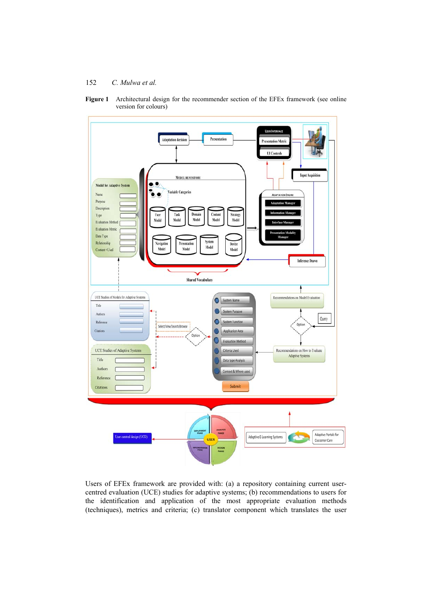



Users of EFEx framework are provided with: (a) a repository containing current usercentred evaluation (UCE) studies for adaptive systems; (b) recommendations to users for the identification and application of the most appropriate evaluation methods (techniques), metrics and criteria; (c) translator component which translates the user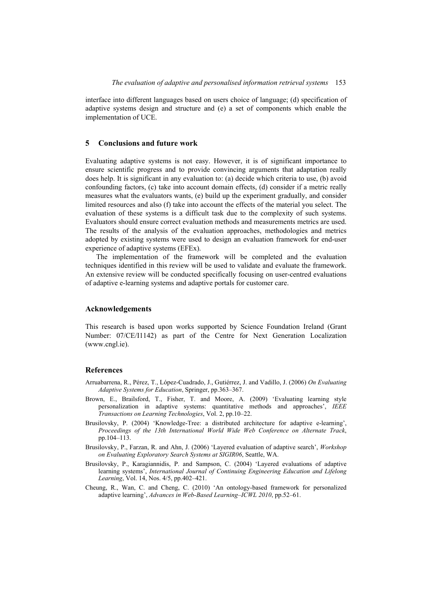interface into different languages based on users choice of language; (d) specification of adaptive systems design and structure and (e) a set of components which enable the implementation of UCE.

#### **5 Conclusions and future work**

Evaluating adaptive systems is not easy. However, it is of significant importance to ensure scientific progress and to provide convincing arguments that adaptation really does help. It is significant in any evaluation to: (a) decide which criteria to use, (b) avoid confounding factors, (c) take into account domain effects, (d) consider if a metric really measures what the evaluators wants, (e) build up the experiment gradually, and consider limited resources and also (f) take into account the effects of the material you select. The evaluation of these systems is a difficult task due to the complexity of such systems. Evaluators should ensure correct evaluation methods and measurements metrics are used. The results of the analysis of the evaluation approaches, methodologies and metrics adopted by existing systems were used to design an evaluation framework for end-user experience of adaptive systems (EFEx).

The implementation of the framework will be completed and the evaluation techniques identified in this review will be used to validate and evaluate the framework. An extensive review will be conducted specifically focusing on user-centred evaluations of adaptive e-learning systems and adaptive portals for customer care.

#### **Acknowledgements**

This research is based upon works supported by Science Foundation Ireland (Grant Number: 07/CE/I1142) as part of the Centre for Next Generation Localization (www.cngl.ie).

## **References**

- Arruabarrena, R., Pérez, T., López-Cuadrado, J., Gutiérrez, J. and Vadillo, J. (2006) *On Evaluating Adaptive Systems for Education*, Springer, pp.363–367.
- Brown, E., Brailsford, T., Fisher, T. and Moore, A. (2009) 'Evaluating learning style personalization in adaptive systems: quantitative methods and approaches', *IEEE Transactions on Learning Technologies*, Vol. 2, pp.10–22.
- Brusilovsky, P. (2004) 'Knowledge-Tree: a distributed architecture for adaptive e-learning', *Proceedings of the 13th International World Wide Web Conference on Alternate Track*, pp.104–113.
- Brusilovsky, P., Farzan, R. and Ahn, J. (2006) 'Layered evaluation of adaptive search', *Workshop on Evaluating Exploratory Search Systems at SIGIR06*, Seattle, WA.
- Brusilovsky, P., Karagiannidis, P. and Sampson, C. (2004) 'Layered evaluations of adaptive learning systems', *International Journal of Continuing Engineering Education and Lifelong Learning*, Vol. 14, Nos. 4/5, pp.402–421.
- Cheung, R., Wan, C. and Cheng, C. (2010) 'An ontology-based framework for personalized adaptive learning', *Advances in Web-Based Learning–ICWL 2010*, pp.52–61.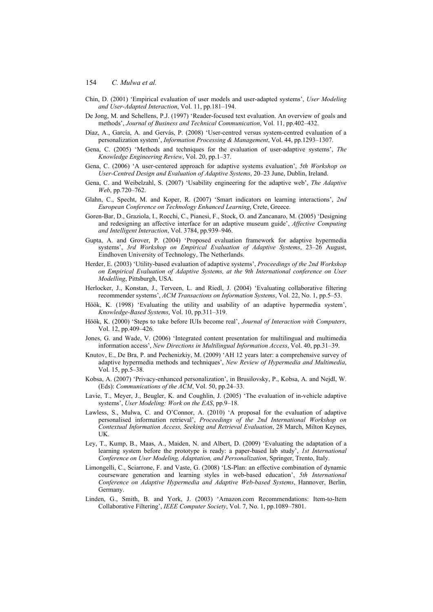- Chin, D. (2001) 'Empirical evaluation of user models and user-adapted systems', *User Modeling and User-Adapted Interaction*, Vol. 11, pp.181–194.
- De Jong, M. and Schellens, P.J. (1997) 'Reader-focused text evaluation. An overview of goals and methods', *Journal of Business and Technical Communication*, Vol. 11, pp.402–432.
- Díaz, A., García, A. and Gervás, P. (2008) 'User-centred versus system-centred evaluation of a personalization system', *Information Processing & Management*, Vol. 44, pp.1293–1307.
- Gena, C. (2005) 'Methods and techniques for the evaluation of user-adaptive systems', *The Knowledge Engineering Review*, Vol. 20, pp.1–37.
- Gena, C. (2006) 'A user-centered approach for adaptive systems evaluation', *5th Workshop on User-Centred Design and Evaluation of Adaptive Systems*, 20–23 June, Dublin, Ireland.
- Gena, C. and Weibelzahl, S. (2007) 'Usability engineering for the adaptive web', *The Adaptive Web*, pp.720–762.
- Glahn, C., Specht, M. and Koper, R. (2007) 'Smart indicators on learning interactions', *2nd European Conference on Technology Enhanced Learning*, Crete, Greece.
- Goren-Bar, D., Graziola, I., Rocchi, C., Pianesi, F., Stock, O. and Zancanaro, M. (2005) 'Designing and redesigning an affective interface for an adaptive museum guide', *Affective Computing and Intelligent Interaction*, Vol. 3784, pp.939–946.
- Gupta, A. and Grover, P. (2004) 'Proposed evaluation framework for adaptive hypermedia systems', *3rd Workshop on Empirical Evaluation of Adaptive Systems*, 23–26 August, Eindhoven University of Technology, The Netherlands.
- Herder, E. (2003) 'Utility-based evaluation of adaptive systems', *Proceedings of the 2nd Workshop on Empirical Evaluation of Adaptive Systems, at the 9th International conference on User Modelling*, Pittsburgh, USA.
- Herlocker, J., Konstan, J., Terveen, L. and Riedl, J. (2004) 'Evaluating collaborative filtering recommender systems', *ACM Transactions on Information Systems*, Vol. 22, No. 1, pp.5–53.
- Höök, K. (1998) 'Evaluating the utility and usability of an adaptive hypermedia system', *Knowledge-Based Systems*, Vol. 10, pp.311–319.
- Höök, K. (2000) 'Steps to take before IUIs become real', *Journal of Interaction with Computers*, Vol. 12, pp.409–426.
- Jones, G. and Wade, V. (2006) 'Integrated content presentation for multilingual and multimedia information access', *New Directions in Multilingual Information Access*, Vol. 40, pp.31–39.
- Knutov, E., De Bra, P. and Pechenizkiy, M. (2009) 'AH 12 years later: a comprehensive survey of adaptive hypermedia methods and techniques', *New Review of Hypermedia and Multimedia*, Vol. 15, pp.5–38.
- Kobsa, A. (2007) 'Privacy-enhanced personalization', in Brusilovsky, P., Kobsa, A. and Nejdl, W. (Eds): *Communications of the ACM*, Vol. 50, pp.24–33.
- Lavie, T., Meyer, J., Beugler, K. and Coughlin, J. (2005) 'The evaluation of in-vehicle adaptive systems', *User Modeling: Work on the EAS*, pp.9–18.
- Lawless, S., Mulwa, C. and O'Connor, A. (2010) 'A proposal for the evaluation of adaptive personalised information retrieval', *Proceedings of the 2nd International Workshop on Contextual Information Access, Seeking and Retrieval Evaluation*, 28 March, Milton Keynes, UK.
- Ley, T., Kump, B., Maas, A., Maiden, N. and Albert, D. (2009) 'Evaluating the adaptation of a learning system before the prototype is ready: a paper-based lab study', *1st International Conference on User Modeling, Adaptation, and Personalization*, Springer, Trento, Italy.
- Limongelli, C., Sciarrone, F. and Vaste, G. (2008) 'LS-Plan: an effective combination of dynamic courseware generation and learning styles in web-based education', *5th International Conference on Adaptive Hypermedia and Adaptive Web-based Systems*, Hannover, Berlin, Germany.
- Linden, G., Smith, B. and York, J. (2003) 'Amazon.com Recommendations: Item-to-Item Collaborative Filtering', *IEEE Computer Society*, Vol. 7, No. 1, pp.1089–7801.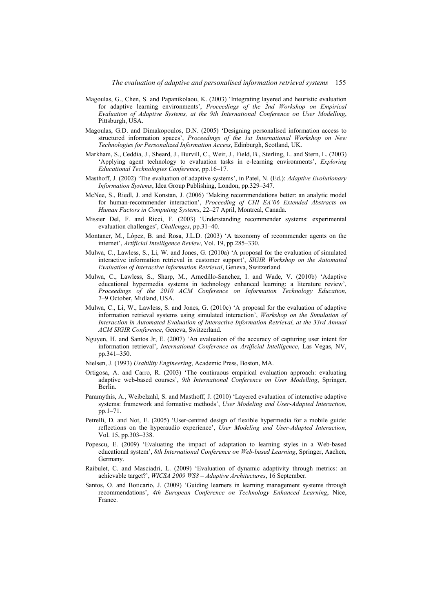- Magoulas, G., Chen, S. and Papanikolaou, K. (2003) 'Integrating layered and heuristic evaluation for adaptive learning environments', *Proceedings of the 2nd Workshop on Empirical Evaluation of Adaptive Systems, at the 9th International Conference on User Modelling*, Pittsburgh, USA.
- Magoulas, G.D. and Dimakopoulos, D.N. (2005) 'Designing personalised information access to structured information spaces', *Proceedings of the 1st International Workshop on New Technologies for Personalized Information Access*, Edinburgh, Scotland, UK.
- Markham, S., Ceddia, J., Sheard, J., Burvill, C., Weir, J., Field, B., Sterling, L. and Stern, L. (2003) 'Applying agent technology to evaluation tasks in e-learning environments', *Exploring Educational Technologies Conference*, pp.16–17.
- Masthoff, J. (2002) 'The evaluation of adaptive systems', in Patel, N. (Ed.): *Adaptive Evolutionary Information Systems*, Idea Group Publishing, London, pp.329–347.
- McNee, S., Riedl, J. and Konstan, J. (2006) 'Making recommendations better: an analytic model for human-recommender interaction', *Proceeding of CHI EA'06 Extended Abstracts on Human Factors in Computing Systems*, 22–27 April, Montreal, Canada.
- Missier Del, F. and Ricci, F. (2003) 'Understanding recommender systems: experimental evaluation challenges', *Challenges*, pp.31–40.
- Montaner, M., López, B. and Rosa, J.L.D. (2003) 'A taxonomy of recommender agents on the internet', *Artificial Intelligence Review*, Vol. 19, pp.285–330.
- Mulwa, C., Lawless, S., Li, W. and Jones, G. (2010a) 'A proposal for the evaluation of simulated interactive information retrieval in customer support', *SIGIR Workshop on the Automated Evaluation of Interactive Information Retrieval*, Geneva, Switzerland.
- Mulwa, C., Lawless, S., Sharp, M., Arnedillo-Sanchez, I. and Wade, V. (2010b) 'Adaptive educational hypermedia systems in technology enhanced learning: a literature review', *Proceedings of the 2010 ACM Conference on Information Technology Education*, 7–9 October, Midland, USA.
- Mulwa, C., Li, W., Lawless, S. and Jones, G. (2010c) 'A proposal for the evaluation of adaptive information retrieval systems using simulated interaction', *Workshop on the Simulation of Interaction in Automated Evaluation of Interactive Information Retrieval, at the 33rd Annual ACM SIGIR Conference*, Geneva, Switzerland.
- Nguyen, H. and Santos Jr, E. (2007) 'An evaluation of the accuracy of capturing user intent for information retrieval', *International Conference on Artificial Intelligence*, Las Vegas, NV, pp.341–350.
- Nielsen, J. (1993) *Usability Engineering*, Academic Press, Boston, MA.
- Ortigosa, A. and Carro, R. (2003) 'The continuous empirical evaluation approach: evaluating adaptive web-based courses', *9th International Conference on User Modelling*, Springer, Berlin.
- Paramythis, A., Weibelzahl, S. and Masthoff, J. (2010) 'Layered evaluation of interactive adaptive systems: framework and formative methods', *User Modeling and User-Adapted Interaction*, pp.1–71.
- Petrelli, D. and Not, E. (2005) 'User-centred design of flexible hypermedia for a mobile guide: reflections on the hyperaudio experience', *User Modeling and User-Adapted Interaction*, Vol. 15, pp.303–338.
- Popescu, E. (2009) 'Evaluating the impact of adaptation to learning styles in a Web-based educational system', *8th International Conference on Web-based Learning*, Springer, Aachen, Germany.
- Raibulet, C. and Masciadri, L. (2009) 'Evaluation of dynamic adaptivity through metrics: an achievable target?', *WICSA 2009 WS8 – Adaptive Architectures*, 16 September.
- Santos, O. and Boticario, J. (2009) 'Guiding learners in learning management systems through recommendations', *4th European Conference on Technology Enhanced Learning*, Nice, France.